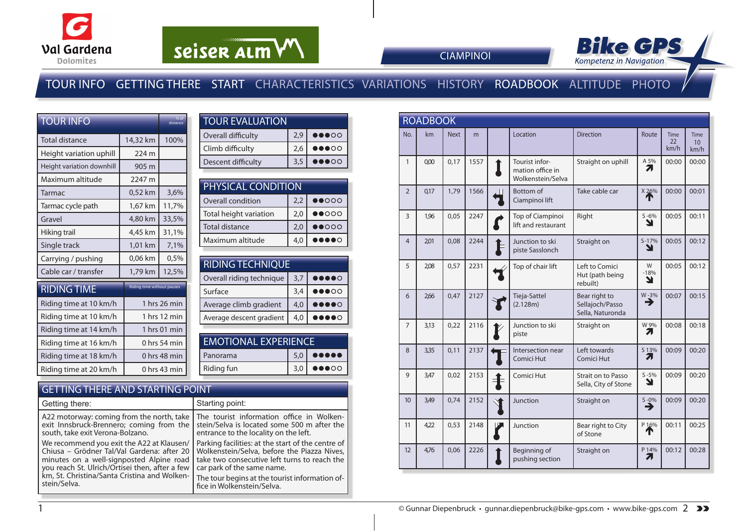

# seiser alm VV



**CIAMPINOI** 

### TOUR INFO GETTING THERE START CHARACTERISTICS VARIATIONS HISTORY ROADBOOK ALTITUDE PHOTO

| <b>TOUR INFO</b>          |                                   | % of<br>distance |  |  |
|---------------------------|-----------------------------------|------------------|--|--|
| Total distance            | 14,32 km                          | 100%             |  |  |
| Height variation uphill   | 224 m                             |                  |  |  |
| Height variation downhill | 905 m                             |                  |  |  |
| Maximum altitude          | 2247 m                            |                  |  |  |
| Tarmac                    | 0,52 km                           | 3,6%             |  |  |
| Tarmac cycle path         | 1,67 km                           | 11,7%            |  |  |
| Gravel                    | 4,80 km                           | 33,5%            |  |  |
| Hiking trail              | 4,45 km                           | 31,1%            |  |  |
| Single track              | 1,01 km                           | 7,1%             |  |  |
| Carrying / pushing        | 0,06 km                           | 0.5%             |  |  |
| Cable car / transfer      | 1,79 km                           | 12,5%            |  |  |
| <b>RIDING TIME</b>        | <b>Riding time without pauses</b> |                  |  |  |
| Riding time at 10 km/h    |                                   | 1 hrs 26 min     |  |  |
| Riding time at 10 km/h    |                                   | 1 hrs 12 min     |  |  |
| Riding time at 14 km/h    |                                   | 1 hrs 01 min     |  |  |
| Riding time at 16 km/h    |                                   | 0 hrs 54 min     |  |  |
| Riding time at 18 km/h    |                                   | 0 hrs 48 min     |  |  |
| Riding time at 20 km/h    |                                   | 0 hrs 43 min     |  |  |

| <b>TOUR EVALUATION</b> |     |                                   |  |  |  |  |  |  |
|------------------------|-----|-----------------------------------|--|--|--|--|--|--|
| Overall difficulty     | 2,9 | 00000                             |  |  |  |  |  |  |
| Climb difficulty       | 2,6 | $\bullet\bullet\bullet\circ\circ$ |  |  |  |  |  |  |
| Descent difficulty     | 3,5 | $\bullet\bullet\bullet\circ\circ$ |  |  |  |  |  |  |

| <b>PHYSICAL CONDITION</b> |               |                                 |  |  |  |  |  |
|---------------------------|---------------|---------------------------------|--|--|--|--|--|
| Overall condition         | $\bullet$ 000 |                                 |  |  |  |  |  |
| Total height variation    | 2.0           | $\bullet\bullet\circ\circ\circ$ |  |  |  |  |  |
| <b>Total distance</b>     | 2.0           | $\bullet\bullet\circ\circ\circ$ |  |  |  |  |  |
| Maximum altitude          | 4,0           | $\bullet$                       |  |  |  |  |  |

| <b>RIDING TECHNIQUE</b>  |     |                                                                                                                                                                                                                                                                                                                                                     |  |  |  |  |  |
|--------------------------|-----|-----------------------------------------------------------------------------------------------------------------------------------------------------------------------------------------------------------------------------------------------------------------------------------------------------------------------------------------------------|--|--|--|--|--|
| Overall riding technique | 3,7 | $\begin{picture}(20,20) \put(0,0){\line(1,0){10}} \put(15,0){\line(1,0){10}} \put(15,0){\line(1,0){10}} \put(15,0){\line(1,0){10}} \put(15,0){\line(1,0){10}} \put(15,0){\line(1,0){10}} \put(15,0){\line(1,0){10}} \put(15,0){\line(1,0){10}} \put(15,0){\line(1,0){10}} \put(15,0){\line(1,0){10}} \put(15,0){\line(1,0){10}} \put(15,0){\line(1$ |  |  |  |  |  |
| Surface                  | 3.4 | $\bullet\bullet\bullet\circ\circ$                                                                                                                                                                                                                                                                                                                   |  |  |  |  |  |
| Average climb gradient   | 4,0 | $\begin{array}{cc} \bullet\bullet\bullet\bullet\circ\circ \end{array}$                                                                                                                                                                                                                                                                              |  |  |  |  |  |
| Average descent gradient | 4.0 | $\bullet$ o                                                                                                                                                                                                                                                                                                                                         |  |  |  |  |  |
|                          |     |                                                                                                                                                                                                                                                                                                                                                     |  |  |  |  |  |

| <b>EMOTIONAL EXPERIENCE</b> |     |                                           |  |  |  |  |
|-----------------------------|-----|-------------------------------------------|--|--|--|--|
| Panorama                    | 5.0 | $\bullet \bullet \bullet \bullet \bullet$ |  |  |  |  |
| Riding fun                  | 3.0 | $\bullet\bullet\bullet\circ\circ$         |  |  |  |  |
|                             |     |                                           |  |  |  |  |

#### GETTING THERE AND STARTING POINT

| Getting there:                                 | Starting point:                                   |
|------------------------------------------------|---------------------------------------------------|
| A22 motorway: coming from the north, take      | The tourist information office in Wolken-         |
| exit Innsbruck-Brennero; coming from the       | stein/Selva is located some 500 m after the       |
| south, take exit Verona-Bolzano.               | entrance to the locality on the left.             |
| We recommend you exit the A22 at Klausen/      | Parking facilities: at the start of the centre of |
| Chiusa – Grödner Tal/Val Gardena: after 20     | Wolkenstein/Selva, before the Piazza Nives,       |
| minutes on a well-signposted Alpine road       | take two consecutive left turns to reach the      |
| you reach St. Ulrich/Ortisei then, after a few | car park of the same name.                        |
| km, St. Christina/Santa Cristina and Wolken-   | The tour begins at the tourist information of-    |
| stein/Selva.                                   | fice in Wolkenstein/Selva.                        |

|                | <b>ROADBOOK</b> |             |      |  |                                                         |                                                      |                  |                           |                    |  |  |
|----------------|-----------------|-------------|------|--|---------------------------------------------------------|------------------------------------------------------|------------------|---------------------------|--------------------|--|--|
| No.            | km              | <b>Next</b> | m    |  | Location                                                | <b>Direction</b>                                     | Route            | <b>Time</b><br>22<br>km/h | Time<br>10<br>km/h |  |  |
| $\mathbf{1}$   | 0,00            | 0,17        | 1557 |  | Tourist infor-<br>mation office in<br>Wolkenstein/Selva | Straight on uphill                                   | A 5%<br>71       | 00:00                     | 00:00              |  |  |
| $\overline{2}$ | 0,17            | 1,79        | 1566 |  | Bottom of<br>Ciampinoi lift                             | Take cable car                                       | X26%             | 00:00                     | 00:01              |  |  |
| $\overline{3}$ | 1,96            | 0.05        | 2247 |  | Top of Ciampinoi<br>lift and restaurant                 | Right                                                | $S - 6%$<br>צ    | 00:05                     | 00:11              |  |  |
| 4              | 2,01            | 0,08        | 2244 |  | Junction to ski<br>piste Sasslonch                      | Straight on                                          | $S - 17%$<br>Y   | 00:05                     | 00:12              |  |  |
| 5              | 2,08            | 0,57        | 2231 |  | Top of chair lift                                       | Left to Comici<br>Hut (path being<br>rebuilt)        | W<br>$-18%$<br>Ł | 00:05                     | 00:12              |  |  |
| 6              | 266             | 0,47        | 2127 |  | Tieja-Sattel<br>(2.128m)                                | Bear right to<br>Sellajoch/Passo<br>Sella, Naturonda | W-3%<br>→        | 00:07                     | 00:15              |  |  |
| $\overline{7}$ | 3,13            | 0,22        | 2116 |  | Junction to ski<br>piste                                | Straight on                                          | W 9%<br>71       | 00:08                     | 00:18              |  |  |
| 8              | 3,35            | 0.11        | 2137 |  | Intersection near<br>Comici Hut                         | Left towards<br>Comici Hut                           | S 13%<br>71      | 00:09                     | 00:20              |  |  |
| 9              | 3,47            | 0,02        | 2153 |  | Comici Hut                                              | <b>Strait on to Passo</b><br>Sella, City of Stone    | $S - 5%$<br>Y    | 00:09                     | 00:20              |  |  |
| 10             | 3,49            | 0.74        | 2152 |  | Junction                                                | Straight on                                          | $S - 0\%$<br>→   | 00:09                     | 00:20              |  |  |
| 11             | 4,22            | 0,53        | 2148 |  | Junction                                                | Bear right to City<br>of Stone                       | P 16%<br>Т       | 00:11                     | 00:25              |  |  |
| 12             | 4.76            | 0.06        | 2226 |  | Beginning of<br>pushing section                         | Straight on                                          | P 14%<br>7.      | 00:12                     | 00:28              |  |  |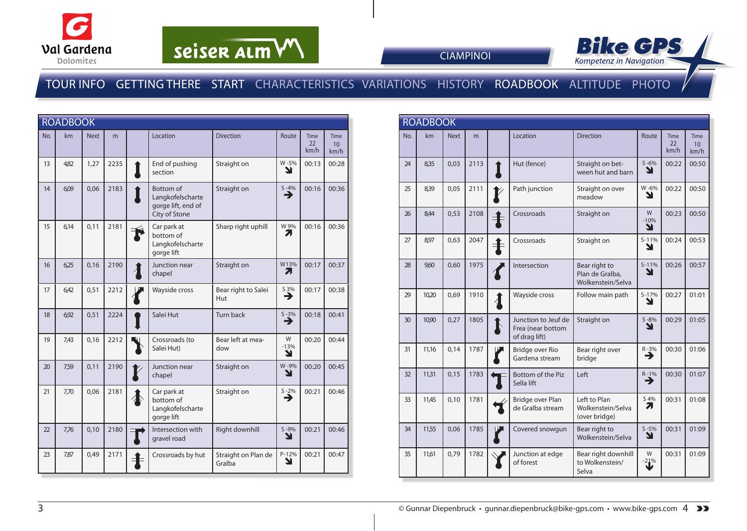

# seiser alm VV



**CIAMPINOI** 

#### TOUR INFO GETTING THERE START CHARACTERISTICS VARIATIONS HISTORY ROADBOOK ALTITUDE PHOTO

|     | <b>ROADBOOK</b> |             |      |          |                                                                             |                               |                       |                    |                                  |
|-----|-----------------|-------------|------|----------|-----------------------------------------------------------------------------|-------------------------------|-----------------------|--------------------|----------------------------------|
| No. | km              | <b>Next</b> | m    |          | Location                                                                    | <b>Direction</b>              | Route                 | Time<br>22<br>km/h | Time<br>10 <sup>10</sup><br>km/h |
| 13  | 4,82            | 1,27        | 2235 | I        | End of pushing<br>section                                                   | Straight on                   | W-5%<br>N             | 00:13              | 00:28                            |
| 14  | 6,09            | 0,06        | 2183 |          | <b>Bottom</b> of<br>Langkofelscharte<br>gorge lift, end of<br>City of Stone | Straight on                   | $\sum_{ }^{5-4\%}$    | 00:16              | 00:36                            |
| 15  | 6,14            | 0,11        | 2181 |          | Car park at<br>bottom of<br>Langkofelscharte<br>gorge lift                  | Sharp right uphill            | W 9%<br>7,            | 00:16              | 00:36                            |
| 16  | 6.25            | 0,16        | 2190 |          | Junction near<br>chapel                                                     | Straight on                   | W13%<br>7.            | 00:17              | 00:37                            |
| 17  | 6.42            | 0,51        | 2212 |          | Wayside cross                                                               | Bear right to Salei<br>Hut    | S 3%<br>→             | 00:17              | 00:38                            |
| 18  | 6,92            | 0,51        | 2224 |          | Salei Hut                                                                   | <b>Turn back</b>              | $\sum_{ }^{5-3\%}$    | 00:18              | 00:41                            |
| 19  | 7,43            | 0,16        | 2212 |          | Crossroads (to<br>Salei Hut)                                                | Bear left at mea-<br>dow      | W<br>$-13%$<br>N      | 00:20              | 00:44                            |
| 20  | 7,59            | 0,11        | 2190 |          | Junction near<br>chapel                                                     | Straight on                   | W-9%<br>N             | 00:20              | 00:45                            |
| 21  | 7,70            | 0,06        | 2181 |          | Car park at<br>bottom of<br>Langkofelscharte<br>gorge lift                  | Straight on                   | $\sum_{n=1}^{\infty}$ | 00:21              | 00:46                            |
| 22  | 7,76            | 0,10        | 2180 |          | Intersection with<br>gravel road                                            | <b>Right downhill</b>         | $S - 9%$<br>Y         | 00:21              | 00:46                            |
| 23  | 7,87            | 0,49        | 2171 | $\bf{+}$ | Crossroads by hut                                                           | Straight on Plan de<br>Gralba | P-12%<br>Y            | 00:21              | 00:47                            |

| <b>ROADBOOK</b> |       |             |      |                        |                                                           |                                                       |                  |                    |                                        |
|-----------------|-------|-------------|------|------------------------|-----------------------------------------------------------|-------------------------------------------------------|------------------|--------------------|----------------------------------------|
| No.             | km    | <b>Next</b> | m    |                        | Location                                                  | <b>Direction</b>                                      | Route            | Time<br>22<br>km/h | <b>Time</b><br>10 <sup>1</sup><br>km/h |
| 24              | 8,35  | 0,03        | 2113 |                        | Hut (fence)                                               | Straight on bet-<br>ween hut and barn                 | $S - 6%$<br>N    | 00:22              | 00:50                                  |
| 25              | 8,39  | 0,05        | 2111 |                        | Path junction                                             | Straight on over<br>meadow                            | W-6%<br>Y        | 00:22              | 00:50                                  |
| 26              | 8.44  | 0,53        | 2108 |                        | Crossroads                                                | Straight on                                           | W<br>$-10%$<br>N | 00:23              | 00:50                                  |
| 27              | 8,97  | 0,63        | 2047 | $\bf\ddagger$          | Crossroads                                                | Straight on                                           | $S - 11%$<br>Y   | 00:24              | 00:53                                  |
| 28              | 960   | 0,60        | 1975 |                        | Intersection                                              | Bear right to<br>Plan de Gralba,<br>Wolkenstein/Selva | $S-11%$<br>Y     | 00:26              | 00:57                                  |
| 29              | 10,20 | 0,69        | 1910 | $\boldsymbol{\lambda}$ | Wayside cross                                             | Follow main path                                      | $S - 17%$<br>Y   | 00:27              | 01:01                                  |
| 30              | 10,90 | 0,27        | 1805 | $\blacktriangledown$   | Junction to Jeuf de<br>Frea (near bottom<br>of drag lift) | Straight on                                           | $S - 8%$<br>ע    | 00:29              | 01:05                                  |
| 31              | 11,16 | 0.14        | 1787 |                        | Bridge over Rio<br>Gardena stream                         | Bear right over<br>bridge                             | $R - 3%$<br>→    | 00:30              | 01:06                                  |
| 32              | 11,31 | 0,15        | 1783 |                        | Bottom of the Piz<br>Sella lift                           | Left                                                  | $R - 1%$<br>⊣    | 00:30              | 01:07                                  |
| 33              | 11,45 | 0,10        | 1781 |                        | Bridge over Plan<br>de Gralba stream                      | Left to Plan<br>Wolkenstein/Selva<br>(over bridge)    | S 4%<br>71       | 00:31              | 01:08                                  |
| 34              | 11,55 | 0.06        | 1785 |                        | Covered snowgun                                           | Bear right to<br>Wolkenstein/Selva                    | $S - 5%$<br>Y    | 00:31              | 01:09                                  |
| 35              | 11,61 | 0,79        | 1782 |                        | Junction at edge<br>of forest                             | Bear right downhill<br>to Wolkenstein/<br>Selva       | W<br>$-21%$      | 00:31              | 01:09                                  |